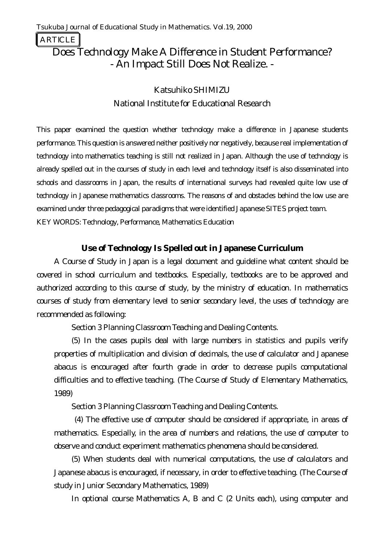ARTICLE

# Does Technology Make A Difference in Student Performance? - An Impact Still Does Not Realize. -

## Katsuhiko SHIMIZU National Institute for Educational Research

*This paper examined the question whether technology make a difference in Japanese students performance. This question is answered neither positively nor negatively, because real implementation of technology into mathematics teaching is still not realized in Japan. Although the use of technology is already spelled out in the courses of study in each level and technology itself is also disseminated into schools and classrooms in Japan, the results of international surveys had revealed quite low use of technology in Japanese mathematics classrooms. The reasons of and obstacles behind the low use are examined under three pedagogical paradigms that were identified Japanese SITES project team.*  KEY WORDS: Technology, Performance, Mathematics Education

## **Use of Technology Is Spelled out in Japanese Curriculum**

A Course of Study in Japan is a legal document and guideline what content should be covered in school curriculum and textbooks. Especially, textbooks are to be approved and authorized according to this course of study, by the ministry of education. In mathematics courses of study from elementary level to senior secondary level, the uses of technology are recommended as following:

*Section 3 Planning Classroom Teaching and Dealing Contents.* 

*(5) In the cases pupils deal with large numbers in statistics and pupils verify properties of multiplication and division of decimals, the use of calculator and Japanese abacus is encouraged after fourth grade in order to decrease pupils computational difficulties and to effective teaching. (The Course of Study of Elementary Mathematics, 1989)* 

*Section 3 Planning Classroom Teaching and Dealing Contents.*

 *(4) The effective use of computer should be considered if appropriate, in areas of mathematics. Especially, in the area of numbers and relations, the use of computer to observe and conduct experiment mathematics phenomena should be considered.*

*(5) When students deal with numerical computations, the use of calculators and Japanese abacus is encouraged, if necessary, in order to effective teaching. (The Course of study in Junior Secondary Mathematics, 1989)*

*In optional course Mathematics A, B and C (2 Units each), using computer and*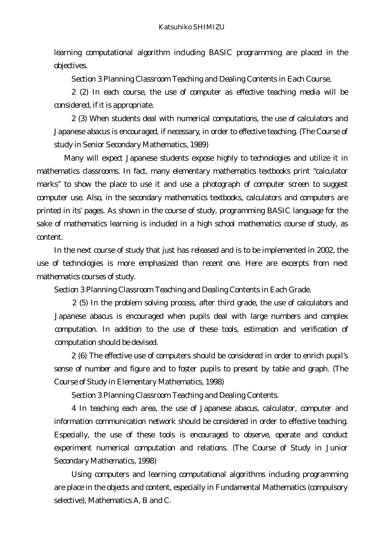*learning computational algorithm including BASIC programming are placed in the objectives.*

*Section 3 Planning Classroom Teaching and Dealing Contents in Each Course.*

*2 (2) In each course, the use of computer as effective teaching media will be considered, if it is appropriate.*

*2 (3) When students deal with numerical computations, the use of calculators and Japanese abacus is encouraged, if necessary, in order to effective teaching. (The Course of study in Senior Secondary Mathematics, 1989)*

Many will expect Japanese students expose highly to technologies and utilize it in mathematics classrooms. In fact, many elementary mathematics textbooks print "calculator marks" to show the place to use it and use a photograph of computer screen to suggest computer use. Also, in the secondary mathematics textbooks, calculators and computers are printed in its' pages. As shown in the course of study, programming BASIC language for the sake of mathematics learning is included in a high school mathematics course of study, as content.

In the next course of study that just has released and is to be implemented in 2002, the use of technologies is more emphasized than recent one. Here are excerpts from next mathematics courses of study.

*Section 3 Planning Classroom Teaching and Dealing Contents in Each Grade.*

*2 (5) In the problem solving process, after third grade, the use of calculators and Japanese abacus is encouraged when pupils deal with large numbers and complex computation. In addition to the use of these tools, estimation and verification of computation should be devised.*

*2 (6) The effective use of computers should be considered in order to enrich pupil's sense of number and figure and to foster pupils to present by table and graph. (The Course of Study in Elementary Mathematics, 1998)*

*Section 3 Planning Classroom Teaching and Dealing Contents.*

*4 In teaching each area, the use of Japanese abacus, calculator, computer and information communication network should be considered in order to effective teaching. Especially, the use of these tools is encouraged to observe, operate and conduct experiment numerical computation and relations. (The Course of Study in Junior Secondary Mathematics, 1998)*

*Using computers and learning computational algorithms including programming are place in the objects and content, especially in Fundamental Mathematics (compulsory selective), Mathematics A, B and C.*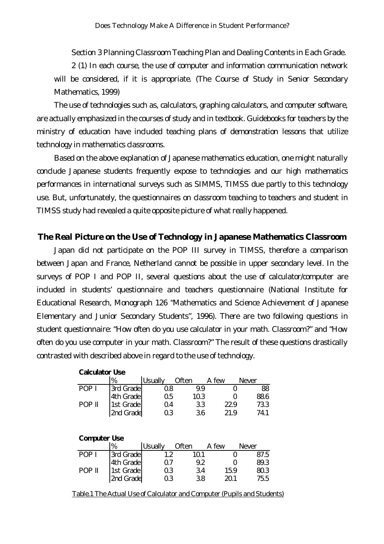*Section 3 Planning Classroom Teaching Plan and Dealing Contents in Each Grade.* 2 (1) *In each course, the use of computer and information communication network will be considered, if it is appropriate. (The Course of Study in Senior Secondary Mathematics, 1999)*

The use of technologies such as, calculators, graphing calculators, and computer software, are actually emphasized in the courses of study and in textbook. Guidebooks for teachers by the ministry of education have included teaching plans of demonstration lessons that utilize technology in mathematics classrooms.

Based on the above explanation of Japanese mathematics education, one might naturally conclude Japanese students frequently expose to technologies and our high mathematics performances in international surveys such as SIMMS, TIMSS due partly to this technology use. But, unfortunately, the questionnaires on classroom teaching to teachers and student in TIMSS study had revealed a quite opposite picture of what really happened.

## **The Real Picture on the Use of Technology in Japanese Mathematics Classroom**

Japan did not participate on the POP III survey in TIMSS, therefore a comparison between Japan and France, Netherland cannot be possible in upper secondary level. In the surveys of POP I and POP II, several questions about the use of calculator/computer are included in students' questionnaire and teachers questionnaire (National Institute for Educational Research, Monograph 126 "Mathematics and Science Achievement of Japanese Elementary and Junior Secondary Students", 1996). There are two following questions in student questionnaire: "How often do you use calculator in your math. Classroom?" and "How often do you use computer in your math. Classroom?" The result of these questions drastically contrasted with described above in regard to the use of technology.

| <b>Calculator Use</b> |           |         |       |       |       |  |
|-----------------------|-----------|---------|-------|-------|-------|--|
|                       | $\%$      | Usually | Often | A few | Never |  |
| POP.                  | 3rd Grade | 0.8     | 99    |       | 88    |  |
|                       | 4th Grade | 0.5     | 10.3  |       | 88.6  |  |
| POP II                | 1st Grade | 0.4     | 33    | 22.9  | 73.3  |  |
|                       | 2nd Grade | 0.3     | 3.6   | 21 Q  | 741   |  |

| <b>Computer Use</b> |           |                |       |       |              |  |
|---------------------|-----------|----------------|-------|-------|--------------|--|
|                     | $\%$      | <b>Usually</b> | Often | A few | <b>Never</b> |  |
| <b>POP</b>          | 3rd Grade | 1 2            | 101   |       | 87.5         |  |
|                     | 4th Grade |                | 9.2   |       | 89.3         |  |
| POP II              | 1st Grade | 0.3            | 3.4   | 15.9  | 80.3         |  |
|                     | 2nd Grade | nз             | 38    | 201   | 75.5         |  |

Table.1 The Actual Use of Calculator and Computer (Pupils and Students)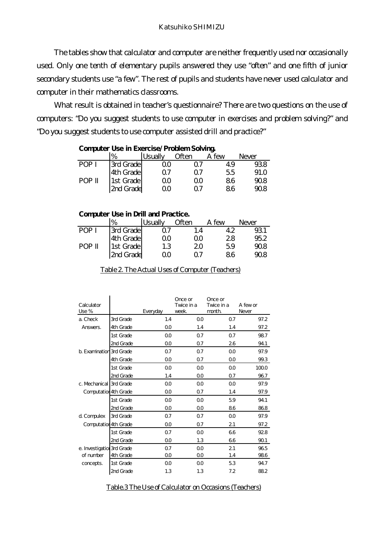The tables show that calculator and computer are neither frequently used nor occasionally used. Only one tenth of elementary pupils answered they use "often" and one fifth of junior secondary students use "a few". The rest of pupils and students have never used calculator and computer in their mathematics classrooms.

What result is obtained in teacher's questionnaire? There are two questions on the use of computers: "Do you suggest students to use computer in exercises and problem solving?" and "Do you suggest students to use computer assisted drill and practice?"

| <b>OUT MACK OSCITT LACK CROCK IT ONIGHT SORVING</b> |           |                |       |       |              |
|-----------------------------------------------------|-----------|----------------|-------|-------|--------------|
|                                                     |           | <b>Usually</b> | Often | A few | <b>Never</b> |
| POP I                                               | 3rd Grade | 0.0            |       | 49    | 93.8         |
|                                                     | 4th Grade | Ω7             |       | 5.5   | 91.O         |
| POP II                                              | 1st Grade | 0.0            | 0.0   | 86    | 90.8         |
|                                                     | 2nd Grade | 0.0            |       | 86    | 908          |

## Computer Use in Exercise/Problem Solving.

#### Computer Use in Drill and Practice.

|            | %         | <b>Usually</b> | Often | A few | <b>Never</b> |
|------------|-----------|----------------|-------|-------|--------------|
| <b>POP</b> | 3rd Grade |                |       |       | 93.1         |
|            | 4th Grade | 0.0            | 0.0   | 28    | 95.2         |
| POP II     | 1st Grade | 1.3            | 20    | 59    | 90.8         |
|            | 2nd Grade | 0.0            |       | 86    | 908          |

#### Table 2. The Actual Uses of Computer (Teachers)

| Calculator<br>Use %        |           | Everyday       | Once or<br>Twice in a<br>week. | Once or<br>Twice in a<br>month. | A few or<br>Never |
|----------------------------|-----------|----------------|--------------------------------|---------------------------------|-------------------|
| a. Check                   | 3rd Grade | 1.4            | 0.0                            | 0.7                             | 97.2              |
| Answers.                   | 4th Grade | 0.0            | 1.4                            | 1.4                             | 97.2              |
|                            | 1st Grade | 0 <sub>0</sub> | 0.7                            | 0.7                             | 98.7              |
|                            | 2nd Grade | 0.0            | 0.7                            | 26                              | 94.1              |
| b. Examination 3rd Grade   |           | 0.7            | 0.7                            | 0.0                             | 97.9              |
|                            | 4th Grade | 0.0            | 0.7                            | 0.0                             | 99.3              |
|                            | 1st Grade | 0.0            | 0.0                            | 0.0                             | 100.0             |
|                            | 2nd Grade | 1.4            | 0.0                            | 0.7                             | 96.7              |
| c. Mechanical              | 3rd Grade | 0.0            | 0.0                            | 0.0                             | 97.9              |
| Computation 4th Grade      |           | 0.0            | 0.7                            | 1.4                             | 97.9              |
|                            | 1st Grade | 0.0            | 0.0                            | 5.9                             | 94.1              |
|                            | 2nd Grade | 0.0            | 0.0                            | 86                              | 86.8              |
| d. Compulex                | 3rd Grade | 0.7            | 0.7                            | 0.0                             | 97.9              |
| Computation 4th Grade      |           | 0.0            | 0.7                            | 21                              | 97.2              |
|                            | 1st Grade | 0.7            | 0.0                            | 6.6                             | 92.8              |
|                            | 2nd Grade | 0.0            | 1.3                            | 6.6                             | 90.1              |
| e. Investigation 3rd Grade |           | 0.7            | 0.0                            | 21                              | 96.5              |
| of number                  | 4th Grade | 0.0            | 0.0                            | 1.4                             | 98.6              |
| concepts.                  | 1st Grade | 0.0            | 0.0                            | 5.3                             | 94.7              |
|                            | 2nd Grade | 1.3            | 1.3                            | 7.2                             | 88.2              |

Table.3 The Use of Calculator on Occasions (Teachers)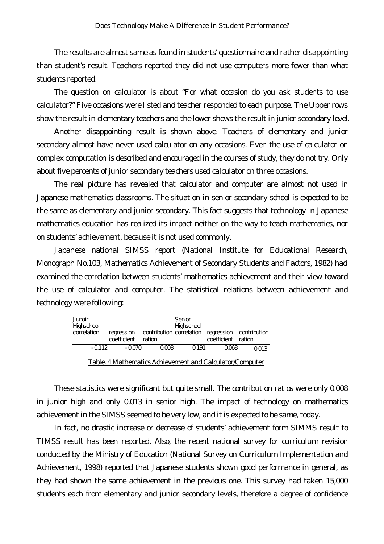The results are almost same as found in students' questionnaire and rather disappointing than student's result. Teachers reported they did not use computers more fewer than what students reported.

The question on calculator is about "For what occasion do you ask students to use calculator?" Five occasions were listed and teacher responded to each purpose. The Upper rows show the result in elementary teachers and the lower shows the result in junior secondary level.

Another disappointing result is shown above. Teachers of elementary and junior secondary almost have never used calculator on any occasions. Even the use of calculator on complex computation is described and encouraged in the courses of study, they do not try. Only about five percents of junior secondary teachers used calculator on three occasions.

The real picture has revealed that calculator and computer are almost not used in Japanese mathematics classrooms. The situation in senior secondary school is expected to be the same as elementary and junior secondary. This fact suggests that technology in Japanese mathematics education has realized its impact neither on the way to teach mathematics, nor on students' achievement, because it is not used commonly.

Japanese national SIMSS report (National Institute for Educational Research, Monograph No.103, Mathematics Achievement of Secondary Students and Factors, 1982) had examined the correlation between students' mathematics achievement and their view toward the use of calculator and computer. The statistical relations between achievement and technology were following:

| <b>Junoir</b><br>Highschool |                                                                            |        | Senior<br>Highschool |                    |       |
|-----------------------------|----------------------------------------------------------------------------|--------|----------------------|--------------------|-------|
| correlation                 | regression contribution correlation regression contribution<br>coefficient | ration |                      | coefficient ration |       |
| $-0.112$                    | - 0070                                                                     | 0008   | 0191                 | 0.068              | 0.013 |

Table. 4 Mathematics Achievement and Calculator/Computer

These statistics were significant but quite small. The contribution ratios were only 0.008 in junior high and only 0.013 in senior high. The impact of technology on mathematics achievement in the SIMSS seemed to be very low, and it is expected to be same, today.

In fact, no drastic increase or decrease of students' achievement form SIMMS result to TIMSS result has been reported. Also, the recent national survey for curriculum revision conducted by the Ministry of Education (National Survey on Curriculum Implementation and Achievement, 1998) reported that Japanese students shown good performance in general, as they had shown the same achievement in the previous one. This survey had taken 15,000 students each from elementary and junior secondary levels, therefore a degree of confidence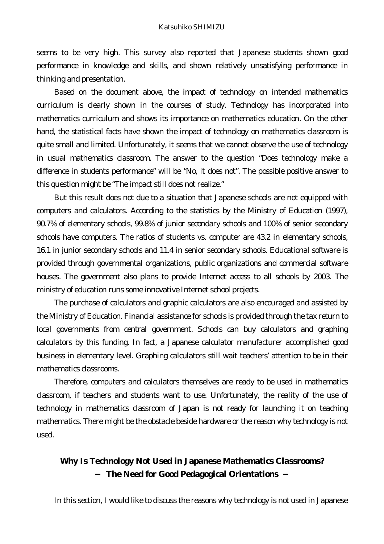seems to be very high. This survey also reported that Japanese students shown good performance in knowledge and skills, and shown relatively unsatisfying performance in thinking and presentation.

Based on the document above, the impact of technology on intended mathematics curriculum is clearly shown in the courses of study. Technology has incorporated into mathematics curriculum and shows its importance on mathematics education. On the other hand, the statistical facts have shown the impact of technology on mathematics classroom is quite small and limited. Unfortunately, it seems that we cannot observe the use of technology in usual mathematics classroom. The answer to the question "Does technology make a difference in students performance" will be "No, it does not". The possible positive answer to this question might be "The impact still does not realize."

But this result does not due to a situation that Japanese schools are not equipped with computers and calculators. According to the statistics by the Ministry of Education (1997), 90.7% of elementary schools, 99.8% of junior secondary schools and 100% of senior secondary schools have computers. The ratios of students vs. computer are 43.2 in elementary schools, 16.1 in junior secondary schools and 11.4 in senior secondary schools. Educational software is provided through governmental organizations, public organizations and commercial software houses. The government also plans to provide Internet access to all schools by 2003. The ministry of education runs some innovative Internet school projects.

The purchase of calculators and graphic calculators are also encouraged and assisted by the Ministry of Education. Financial assistance for schools is provided through the tax return to local governments from central government. Schools can buy calculators and graphing calculators by this funding. In fact, a Japanese calculator manufacturer accomplished good business in elementary level. Graphing calculators still wait teachers' attention to be in their mathematics classrooms.

Therefore, computers and calculators themselves are ready to be used in mathematics classroom, if teachers and students want to use. Unfortunately, the reality of the use of technology in mathematics classroom of Japan is not ready for launching it on teaching mathematics. There might be the obstacle beside hardware or the reason why technology is not used.

## **Why Is Technology Not Used in Japanese Mathematics Classrooms? The Need for Good Pedagogical Orientations**

In this section, I would like to discuss the reasons why technology is not used in Japanese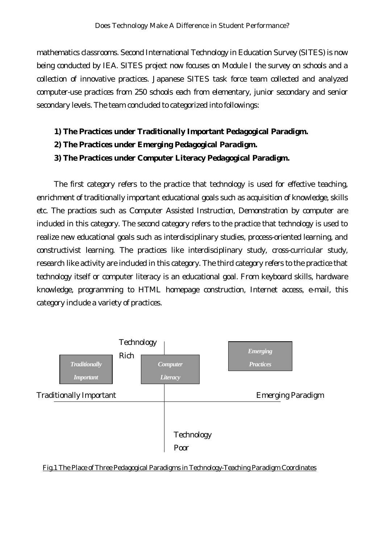mathematics classrooms. Second International Technology in Education Survey (SITES) is now being conducted by IEA. SITES project now focuses on Module I the survey on schools and a collection of innovative practices. Japanese SITES task force team collected and analyzed computer-use practices from 250 schools each from elementary, junior secondary and senior secondary levels. The team concluded to categorized into followings:

# *1) The Practices under Traditionally Important Pedagogical Paradigm. 2) The Practices under Emerging Pedagogical Paradigm. 3) The Practices under Computer Literacy Pedagogical Paradigm.*

The first category refers to the practice that technology is used for effective teaching, enrichment of traditionally important educational goals such as acquisition of knowledge, skills etc. The practices such as Computer Assisted Instruction, Demonstration by computer are included in this category. The second category refers to the practice that technology is used to realize new educational goals such as interdisciplinary studies, process-oriented learning, and constructivist learning. The practices like interdisciplinary study, cross-curricular study, research like activity are included in this category. The third category refers to the practice that technology itself or computer literacy is an educational goal. From keyboard skills, hardware knowledge, programming to HTML homepage construction, Internet access, e-mail, this category include a variety of practices.



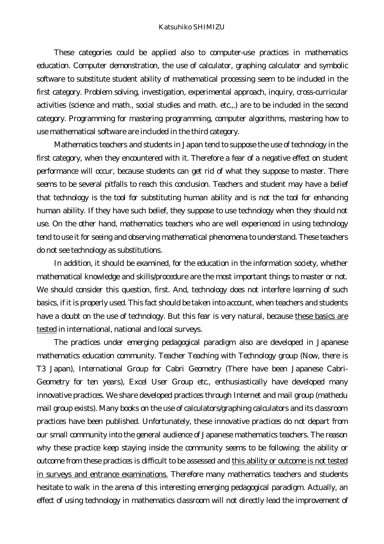#### Katsuhiko SHIMIZU

These categories could be applied also to computer-use practices in mathematics education. Computer demonstration, the use of calculator, graphing calculator and symbolic software to substitute student ability of mathematical processing seem to be included in the first category. Problem solving, investigation, experimental approach, inquiry, cross-curricular activities (science and math., social studies and math. etc.,.) are to be included in the second category. Programming for mastering programming, computer algorithms, mastering how to use mathematical software are included in the third category.

Mathematics teachers and students in Japan tend to suppose the use of technology in the first category, when they encountered with it. Therefore a fear of a negative effect on student performance will occur, because students can get rid of what they suppose to master. There seems to be several pitfalls to reach this conclusion. Teachers and student may have a belief that technology is the tool for substituting human ability and is not the tool for enhancing human ability. If they have such belief, they suppose to use technology when they should not use. On the other hand, mathematics teachers who are well experienced in using technology tend to use it for seeing and observing mathematical phenomena to understand. These teachers do not see technology as substitutions.

In addition, it should be examined, for the education in the information society, whether mathematical knowledge and skills/procedure are the most important things to master or not. We should consider this question, first. And, technology does not interfere learning of such basics, if it is properly used. This fact should be taken into account, when teachers and students have a doubt on the use of technology. But this fear is very natural, because *these basics are tested* in international, national and local surveys.

The practices under emerging pedagogical paradigm also are developed in Japanese mathematics education community. Teacher Teaching with Technology group (Now, there is T3 Japan), International Group for Cabri Geometry (There have been Japanese Cabri-Geometry for ten years), Excel User Group etc., enthusiastically have developed many innovative practices. We share developed practices through Internet and mail group (mathedu mail group exists). Many books on the use of calculators/graphing calculators and its classroom practices have been published. Unfortunately, these innovative practices do not depart from our small community into the general audience of Japanese mathematics teachers. The reason why these practice keep staying inside the community seems to be following: the ability or outcome from these practices is difficult to be assessed and *this ability or outcome is not tested in surveys and entrance examinations.* Therefore many mathematics teachers and students hesitate to walk in the arena of this interesting emerging pedagogical paradigm. Actually, an effect of using technology in mathematics classroom will not directly lead the improvement of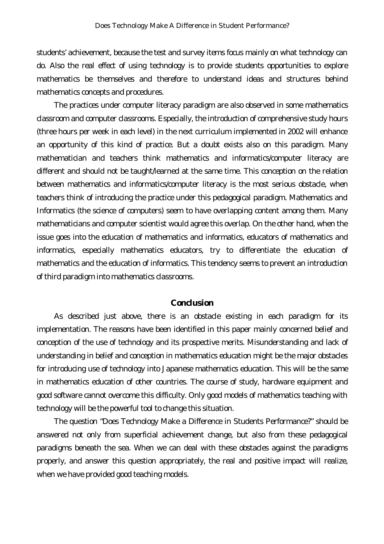students' achievement, because the test and survey items focus mainly on what technology can do. Also the real effect of using technology is to provide students opportunities to explore mathematics be themselves and therefore to understand ideas and structures behind mathematics concepts and procedures.

The practices under computer literacy paradigm are also observed in some mathematics classroom and computer classrooms. Especially, the introduction of comprehensive study hours (three hours per week in each level) in the next curriculum implemented in 2002 will enhance an opportunity of this kind of practice. But a doubt exists also on this paradigm. Many mathematician and teachers think mathematics and informatics/computer literacy are different and should not be taught/learned at the same time. This conception on the relation between mathematics and informatics/computer literacy is the most serious obstacle, when teachers think of introducing the practice under this pedagogical paradigm. Mathematics and Informatics (the science of computers) seem to have overlapping content among them. Many mathematicians and computer scientist would agree this overlap. On the other hand, when the issue goes into the education of mathematics and informatics, educators of mathematics and informatics, especially mathematics educators, try to differentiate the education of mathematics and the education of informatics. This tendency seems to prevent an introduction of third paradigm into mathematics classrooms.

### **Conclusion**

As described just above, there is an obstacle existing in each paradigm for its implementation. The reasons have been identified in this paper mainly concerned belief and conception of the use of technology and its prospective merits. Misunderstanding and lack of understanding in belief and conception in mathematics education might be the major obstacles for introducing use of technology into Japanese mathematics education. This will be the same in mathematics education of other countries. The course of study, hardware equipment and good software cannot overcome this difficulty. Only good models of mathematics teaching with technology will be the powerful tool to change this situation.

The question "Does Technology Make a Difference in Students Performance?" should be answered not only from superficial achievement change, but also from these pedagogical paradigms beneath the sea. When we can deal with these obstacles against the paradigms properly, and answer this question appropriately, the real and positive impact will realize, when we have provided good teaching models.